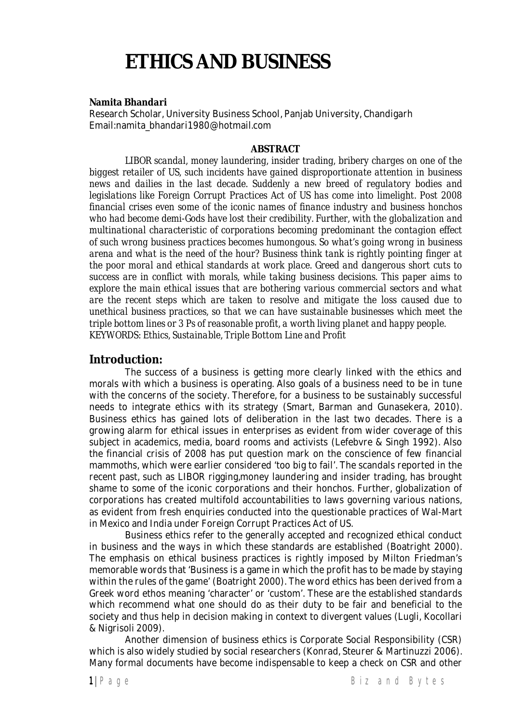# **ETHICS AND BUSINESS**

**Namita Bhandari**

Research Scholar, University Business School, Panjab University, Chandigarh Email:namita\_bhandari1980@hotmail.com

#### **ABSTRACT**

*LIBOR scandal, money laundering, insider trading, bribery charges on one of the biggest retailer of US, such incidents have gained disproportionate attention in business news and dailies in the last decade. Suddenly a new breed of regulatory bodies and legislations like Foreign Corrupt Practices Act of US has come into limelight. Post 2008 financial crises even some of the iconic names of finance industry and business honchos who had become demi-Gods have lost their credibility. Further, with the globalization and multinational characteristic of corporations becoming predominant the contagion effect of such wrong business practices becomes humongous. So what's going wrong in business arena and what is the need of the hour? Business think tank is rightly pointing finger at the poor moral and ethical standards at work place. Greed and dangerous short cuts to success are in conflict with morals, while taking business decisions. This paper aims to explore the main ethical issues that are bothering various commercial sectors and what are the recent steps which are taken to resolve and mitigate the loss caused due to unethical business practices, so that we can have sustainable businesses which meet the triple bottom lines or 3 Ps of reasonable profit, a worth living planet and happy people. KEYWORDS: Ethics, Sustainable, Triple Bottom Line and Profit*

#### **Introduction:**

The success of a business is getting more clearly linked with the ethics and morals with which a business is operating. Also goals of a business need to be in tune with the concerns of the society. Therefore, for a business to be sustainably successful needs to integrate ethics with its strategy (Smart, Barman and Gunasekera, 2010). Business ethics has gained lots of deliberation in the last two decades. There is a growing alarm for ethical issues in enterprises as evident from wider coverage of this subject in academics, media, board rooms and activists (Lefebvre & Singh 1992). Also the financial crisis of 2008 has put question mark on the conscience of few financial mammoths, which were earlier considered 'too big to fail'. The scandals reported in the recent past, such as LIBOR rigging,money laundering and insider trading, has brought shame to some of the iconic corporations and their honchos. Further, globalization of corporations has created multifold accountabilities to laws governing various nations, as evident from fresh enquiries conducted into the questionable practices of Wal-Mart in Mexico and India under Foreign Corrupt Practices Act of US.

Business ethics refer to the generally accepted and recognized ethical conduct in business and the ways in which these standards are established (Boatright 2000). The emphasis on ethical business practices is rightly imposed by Milton Friedman's memorable words that 'Business is a game in which the profit has to be made by staying within the rules of the game' (Boatright 2000). The word ethics has been derived from a Greek word ethos meaning 'character' or 'custom'. These are the established standards which recommend what one should do as their duty to be fair and beneficial to the society and thus help in decision making in context to divergent values (Lugli, Kocollari & Nigrisoli 2009).

Another dimension of business ethics is Corporate Social Responsibility (CSR) which is also widely studied by social researchers (Konrad, Steurer & Martinuzzi 2006). Many formal documents have become indispensable to keep a check on CSR and other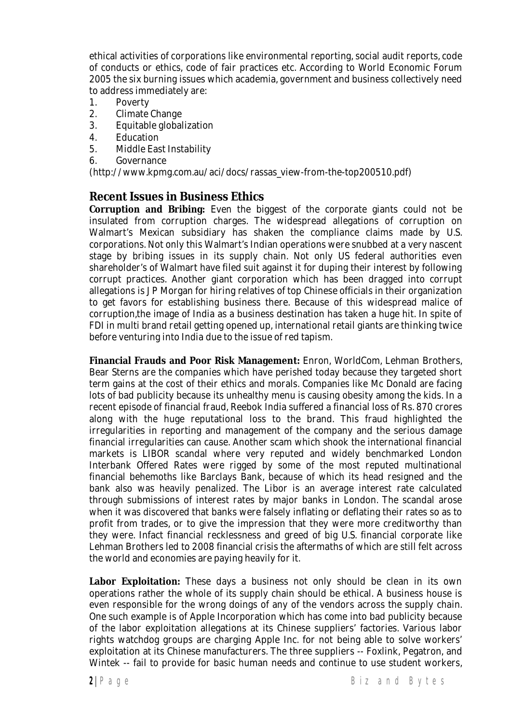ethical activities of corporations like environmental reporting, social audit reports, code of conducts or ethics, code of fair practices etc. According to World Economic Forum 2005 the six burning issues which academia, government and business collectively need to address immediately are:

- 1. Poverty
- 2. Climate Change
- 3. Equitable globalization
- 4. Education
- 5. Middle East Instability
- 6. Governance

(http://www.kpmg.com.au/aci/docs/rassas\_view-from-the-top200510.pdf)

#### **Recent Issues in Business Ethics**

**Corruption and Bribing:** Even the biggest of the corporate giants could not be insulated from corruption charges. The widespread allegations of corruption on Walmart's Mexican subsidiary has shaken the compliance claims made by U.S. corporations. Not only this Walmart's Indian operations were snubbed at a very nascent stage by bribing issues in its supply chain. Not only US federal authorities even shareholder's of Walmart have filed suit against it for duping their interest by following corrupt practices. Another giant corporation which has been dragged into corrupt allegations is J P Morgan for hiring relatives of top Chinese officials in their organization to get favors for establishing business there. Because of this widespread malice of corruption,the image of India as a business destination has taken a huge hit. In spite of FDI in multi brand retail getting opened up, international retail giants are thinking twice before venturing into India due to the issue of red tapism.

**Financial Frauds and Poor Risk Management:** Enron, WorldCom, Lehman Brothers, Bear Sterns are the companies which have perished today because they targeted short term gains at the cost of their ethics and morals. Companies like Mc Donald are facing lots of bad publicity because its unhealthy menu is causing obesity among the kids. In a recent episode of financial fraud, Reebok India suffered a financial loss of Rs. 870 crores along with the huge reputational loss to the brand. This fraud highlighted the irregularities in reporting and management of the company and the serious damage financial irregularities can cause. Another scam which shook the international financial markets is LIBOR scandal where very reputed and widely benchmarked London Interbank Offered Rates were rigged by some of the most reputed multinational financial behemoths like Barclays Bank, because of which its head resigned and the bank also was heavily penalized. The Libor is an average interest rate calculated through submissions of interest rates by major banks in London. The scandal arose when it was discovered that banks were falsely inflating or deflating their rates so as to profit from trades, or to give the impression that they were more creditworthy than they were. Infact financial recklessness and greed of big U.S. financial corporate like Lehman Brothers led to 2008 financial crisis the aftermaths of which are still felt across the world and economies are paying heavily for it.

**Labor Exploitation:** These days a business not only should be clean in its own operations rather the whole of its supply chain should be ethical. A business house is even responsible for the wrong doings of any of the vendors across the supply chain. One such example is of Apple Incorporation which has come into bad publicity because of the labor exploitation allegations at its Chinese suppliers' factories. Various labor rights watchdog groups are charging Apple Inc. for not being able to solve workers' exploitation at its Chinese manufacturers. The three suppliers -- Foxlink, Pegatron, and Wintek -- fail to provide for basic human needs and continue to use student workers,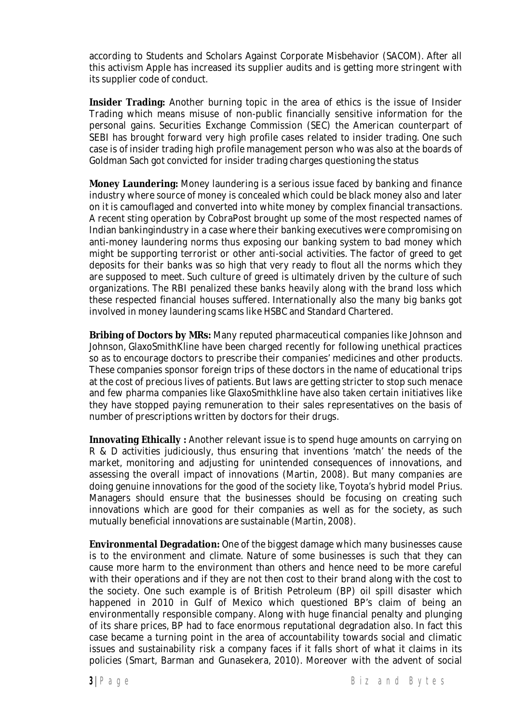according to Students and Scholars Against Corporate Misbehavior (SACOM). After all this activism Apple has increased its supplier audits and is getting more stringent with its supplier code of conduct.

**Insider Trading:** Another burning topic in the area of ethics is the issue of Insider Trading which means misuse of non-public financially sensitive information for the personal gains. Securities Exchange Commission (SEC) the American counterpart of SEBI has brought forward very high profile cases related to insider trading. One such case is of insider trading high profile management person who was also at the boards of Goldman Sach got convicted for insider trading charges questioning the status

**Money Laundering:** Money laundering is a serious issue faced by banking and finance industry where source of money is concealed which could be black money also and later on it is camouflaged and converted into white money by complex financial transactions. A recent sting operation by CobraPost brought up some of the most respected names of Indian bankingindustry in a case where their banking executives were compromising on anti-money laundering norms thus exposing our banking system to bad money which might be supporting terrorist or other anti-social activities. The factor of greed to get deposits for their banks was so high that very ready to flout all the norms which they are supposed to meet. Such culture of greed is ultimately driven by the culture of such organizations. The RBI penalized these banks heavily along with the brand loss which these respected financial houses suffered. Internationally also the many big banks got involved in money laundering scams like HSBC and Standard Chartered.

**Bribing of Doctors by MRs:** Many reputed pharmaceutical companies like Johnson and Johnson, GlaxoSmithKline have been charged recently for following unethical practices so as to encourage doctors to prescribe their companies' medicines and other products. These companies sponsor foreign trips of these doctors in the name of educational trips at the cost of precious lives of patients. But laws are getting stricter to stop such menace and few pharma companies like GlaxoSmithkline have also taken certain initiatives like they have stopped paying remuneration to their sales representatives on the basis of number of prescriptions written by doctors for their drugs.

**Innovating Ethically :** Another relevant issue is to spend huge amounts on carrying on R & D activities judiciously, thus ensuring that inventions 'match' the needs of the market, monitoring and adjusting for unintended consequences of innovations, and assessing the overall impact of innovations (Martin, 2008). But many companies are doing genuine innovations for the good of the society like, Toyota's hybrid model Prius. Managers should ensure that the businesses should be focusing on creating such innovations which are good for their companies as well as for the society, as such mutually beneficial innovations are sustainable (Martin, 2008).

**Environmental Degradation:** One of the biggest damage which many businesses cause is to the environment and climate. Nature of some businesses is such that they can cause more harm to the environment than others and hence need to be more careful with their operations and if they are not then cost to their brand along with the cost to the society. One such example is of British Petroleum (BP) oil spill disaster which happened in 2010 in Gulf of Mexico which questioned BP's claim of being an environmentally responsible company. Along with huge financial penalty and plunging of its share prices, BP had to face enormous reputational degradation also. In fact this case became a turning point in the area of accountability towards social and climatic issues and sustainability risk a company faces if it falls short of what it claims in its policies (Smart, Barman and Gunasekera, 2010). Moreover with the advent of social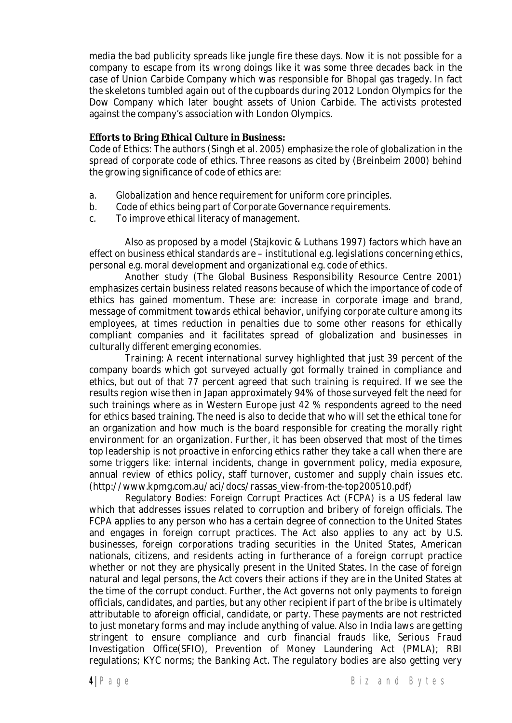media the bad publicity spreads like jungle fire these days. Now it is not possible for a company to escape from its wrong doings like it was some three decades back in the case of Union Carbide Company which was responsible for Bhopal gas tragedy. In fact the skeletons tumbled again out of the cupboards during 2012 London Olympics for the Dow Company which later bought assets of Union Carbide. The activists protested against the company's association with London Olympics.

**Efforts to Bring Ethical Culture in Business:**

Code of Ethics: The authors (Singh et al. 2005) emphasize the role of globalization in the spread of corporate code of ethics. Three reasons as cited by (Breinbeim 2000) behind the growing significance of code of ethics are:

- a. Globalization and hence requirement for uniform core principles.
- b. Code of ethics being part of Corporate Governance requirements.
- c. To improve ethical literacy of management.

Also as proposed by a model (Stajkovic & Luthans 1997) factors which have an effect on business ethical standards are – institutional e.g. legislations concerning ethics, personal e.g. moral development and organizational e.g. code of ethics.

Another study (The Global Business Responsibility Resource Centre 2001) emphasizes certain business related reasons because of which the importance of code of ethics has gained momentum. These are: increase in corporate image and brand, message of commitment towards ethical behavior, unifying corporate culture among its employees, at times reduction in penalties due to some other reasons for ethically compliant companies and it facilitates spread of globalization and businesses in culturally different emerging economies.

Training: A recent international survey highlighted that just 39 percent of the company boards which got surveyed actually got formally trained in compliance and ethics, but out of that 77 percent agreed that such training is required. If we see the results region wise then in Japan approximately 94% of those surveyed felt the need for such trainings where as in Western Europe just 42 % respondents agreed to the need for ethics based training. The need is also to decide that who will set the ethical tone for an organization and how much is the board responsible for creating the morally right environment for an organization. Further, it has been observed that most of the times top leadership is not proactive in enforcing ethics rather they take a call when there are some triggers like: internal incidents, change in government policy, media exposure, annual review of ethics policy, staff turnover, customer and supply chain issues etc. (http://www.kpmg.com.au/aci/docs/rassas\_view-from-the-top200510.pdf)

Regulatory Bodies: Foreign Corrupt Practices Act (FCPA) is a US federal law which that addresses issues related to corruption and bribery of foreign officials. The FCPA applies to any person who has a certain degree of connection to the United States and engages in foreign corrupt practices. The Act also applies to any act by U.S. businesses, foreign corporations trading securities in the United States, American nationals, citizens, and residents acting in furtherance of a foreign corrupt practice whether or not they are physically present in the United States. In the case of foreign natural and legal persons, the Act covers their actions if they are in the United States at the time of the corrupt conduct. Further, the Act governs not only payments to foreign officials, candidates, and parties, but any other recipient if part of the bribe is ultimately attributable to aforeign official, candidate, or party. These payments are not restricted to just monetary forms and may include anything of value. Also in India laws are getting stringent to ensure compliance and curb financial frauds like, Serious Fraud Investigation Office(SFIO), Prevention of Money Laundering Act (PMLA); RBI regulations; KYC norms; the Banking Act. The regulatory bodies are also getting very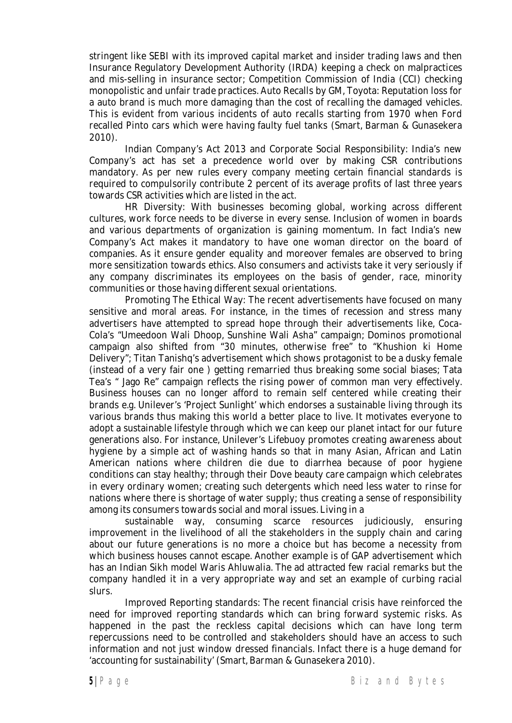stringent like SEBI with its improved capital market and insider trading laws and then Insurance Regulatory Development Authority (IRDA) keeping a check on malpractices and mis-selling in insurance sector; Competition Commission of India (CCI) checking monopolistic and unfair trade practices. Auto Recalls by GM, Toyota: Reputation loss for a auto brand is much more damaging than the cost of recalling the damaged vehicles. This is evident from various incidents of auto recalls starting from 1970 when Ford recalled Pinto cars which were having faulty fuel tanks (Smart, Barman & Gunasekera 2010).

Indian Company's Act 2013 and Corporate Social Responsibility: India's new Company's act has set a precedence world over by making CSR contributions mandatory. As per new rules every company meeting certain financial standards is required to compulsorily contribute 2 percent of its average profits of last three years towards CSR activities which are listed in the act.

HR Diversity: With businesses becoming global, working across different cultures, work force needs to be diverse in every sense. Inclusion of women in boards and various departments of organization is gaining momentum. In fact India's new Company's Act makes it mandatory to have one woman director on the board of companies. As it ensure gender equality and moreover females are observed to bring more sensitization towards ethics. Also consumers and activists take it very seriously if any company discriminates its employees on the basis of gender, race, minority communities or those having different sexual orientations.

Promoting The Ethical Way: The recent advertisements have focused on many sensitive and moral areas. For instance, in the times of recession and stress many advertisers have attempted to spread hope through their advertisements like, Coca-Cola's "Umeedoon Wali Dhoop, Sunshine Wali Asha" campaign; Dominos promotional campaign also shifted from "30 minutes, otherwise free" to "Khushion ki Home Delivery"; Titan Tanishq's advertisement which shows protagonist to be a dusky female (instead of a very fair one ) getting remarried thus breaking some social biases; Tata Tea's " Jago Re" campaign reflects the rising power of common man very effectively. Business houses can no longer afford to remain self centered while creating their brands e.g. Unilever's 'Project Sunlight' which endorses a sustainable living through its various brands thus making this world a better place to live. It motivates everyone to adopt a sustainable lifestyle through which we can keep our planet intact for our future generations also. For instance, Unilever's Lifebuoy promotes creating awareness about hygiene by a simple act of washing hands so that in many Asian, African and Latin American nations where children die due to diarrhea because of poor hygiene conditions can stay healthy; through their Dove beauty care campaign which celebrates in every ordinary women; creating such detergents which need less water to rinse for nations where there is shortage of water supply; thus creating a sense of responsibility among its consumers towards social and moral issues. Living in a

sustainable way, consuming scarce resources judiciously, ensuring improvement in the livelihood of all the stakeholders in the supply chain and caring about our future generations is no more a choice but has become a necessity from which business houses cannot escape. Another example is of GAP advertisement which has an Indian Sikh model Waris Ahluwalia. The ad attracted few racial remarks but the company handled it in a very appropriate way and set an example of curbing racial slurs.

Improved Reporting standards: The recent financial crisis have reinforced the need for improved reporting standards which can bring forward systemic risks. As happened in the past the reckless capital decisions which can have long term repercussions need to be controlled and stakeholders should have an access to such information and not just window dressed financials. Infact there is a huge demand for 'accounting for sustainability' (Smart, Barman & Gunasekera 2010).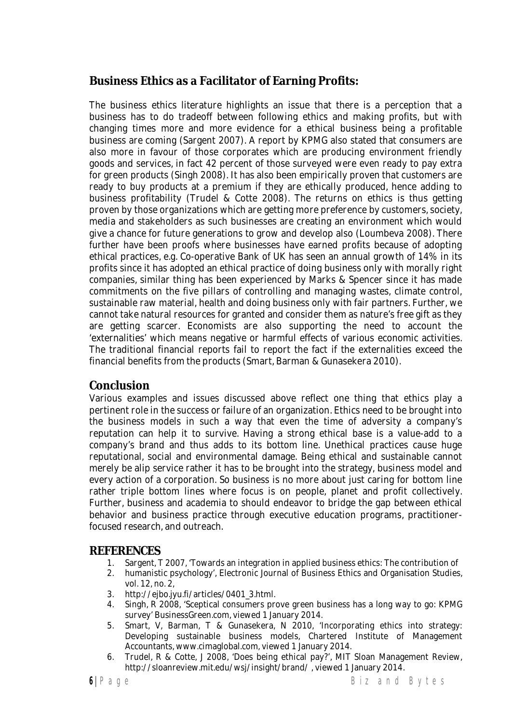# **Business Ethics as a Facilitator of Earning Profits:**

The business ethics literature highlights an issue that there is a perception that a business has to do tradeoff between following ethics and making profits, but with changing times more and more evidence for a ethical business being a profitable business are coming (Sargent 2007). A report by KPMG also stated that consumers are also more in favour of those corporates which are producing environment friendly goods and services, in fact 42 percent of those surveyed were even ready to pay extra for green products (Singh 2008). It has also been empirically proven that customers are ready to buy products at a premium if they are ethically produced, hence adding to business profitability (Trudel & Cotte 2008). The returns on ethics is thus getting proven by those organizations which are getting more preference by customers, society, media and stakeholders as such businesses are creating an environment which would give a chance for future generations to grow and develop also (Loumbeva 2008). There further have been proofs where businesses have earned profits because of adopting ethical practices, e.g. Co-operative Bank of UK has seen an annual growth of 14% in its profits since it has adopted an ethical practice of doing business only with morally right companies, similar thing has been experienced by Marks & Spencer since it has made commitments on the five pillars of controlling and managing wastes, climate control, sustainable raw material, health and doing business only with fair partners. Further, we cannot take natural resources for granted and consider them as nature's free gift as they are getting scarcer. Economists are also supporting the need to account the 'externalities' which means negative or harmful effects of various economic activities. The traditional financial reports fail to report the fact if the externalities exceed the financial benefits from the products (Smart, Barman & Gunasekera 2010).

## **Conclusion**

Various examples and issues discussed above reflect one thing that ethics play a pertinent role in the success or failure of an organization. Ethics need to be brought into the business models in such a way that even the time of adversity a company's reputation can help it to survive. Having a strong ethical base is a value-add to a company's brand and thus adds to its bottom line. Unethical practices cause huge reputational, social and environmental damage. Being ethical and sustainable cannot merely be alip service rather it has to be brought into the strategy, business model and every action of a corporation. So business is no more about just caring for bottom line rather triple bottom lines where focus is on people, planet and profit collectively. Further, business and academia to should endeavor to bridge the gap between ethical behavior and business practice through executive education programs, practitionerfocused research, and outreach.

## **REFERENCES**

- 1. Sargent, T 2007, 'Towards an integration in applied business ethics: The contribution of
- 2. humanistic psychology', Electronic Journal of Business Ethics and Organisation Studies, vol. 12, no. 2,
- 3. http://ejbo.jyu.fi/articles/0401\_3.html.
- 4. Singh, R 2008, 'Sceptical consumers prove green business has a long way to go: KPMG survey' BusinessGreen.com, viewed 1 January 2014.
- 5. Smart, V, Barman, T & Gunasekera, N 2010, 'Incorporating ethics into strategy: Developing sustainable business models, Chartered Institute of Management Accountants, www.cimaglobal.com, viewed 1 January 2014.
- 6. Trudel, R & Cotte, J 2008, 'Does being ethical pay?', MIT Sloan Management Review, http://sloanreview.mit.edu/wsj/insight/brand/ , viewed 1 January 2014.